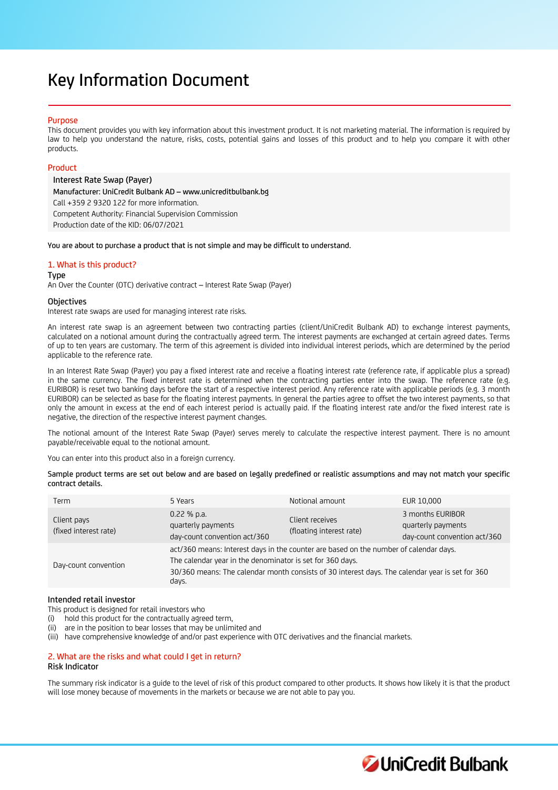# Key Information Document

# Purpose

This document provides you with key information about this investment product. It is not marketing material. The information is required by law to help you understand the nature, risks, costs, potential gains and losses of this product and to help you compare it with other products.

# Product

Interest Rate Swap (Payer) Manufacturer: UniCredit Bulbank AD – www.unicreditbulbank.bg Call +359 2 9320 122 for more information. Competent Authority: Financial Supervision Commission Production date of the KID: 06/07/2021

You are about to purchase a product that is not simple and may be difficult to understand.

# 1. What is this product?

Type

An Over the Counter (OTC) derivative contract – Interest Rate Swap (Payer)

#### **Objectives**

Interest rate swaps are used for managing interest rate risks.

An interest rate swap is an agreement between two contracting parties (client/UniCredit Bulbank AD) to exchange interest payments, calculated on a notional amount during the contractually agreed term. The interest payments are exchanged at certain agreed dates. Terms of up to ten years are customary. The term of this agreement is divided into individual interest periods, which are determined by the period applicable to the reference rate.

In an Interest Rate Swap (Payer) you pay a fixed interest rate and receive a floating interest rate (reference rate, if applicable plus a spread) in the same currency. The fixed interest rate is determined when the contracting parties enter into the swap. The reference rate (e.g. EURIBOR) is reset two banking days before the start of a respective interest period. Any reference rate with applicable periods (e.g. 3 month EURIBOR) can be selected as base for the floating interest payments. In general the parties agree to offset the two interest payments, so that only the amount in excess at the end of each interest period is actually paid. If the floating interest rate and/or the fixed interest rate is negative, the direction of the respective interest payment changes.

The notional amount of the Interest Rate Swap (Payer) serves merely to calculate the respective interest payment. There is no amount payable/receivable equal to the notional amount.

You can enter into this product also in a foreign currency.

Sample product terms are set out below and are based on legally predefined or realistic assumptions and may not match your specific contract details.

| Term                                 | 5 Years                                                                                                                                                                                                                                                        | Notional amount                             | EUR 10,000                                                             |
|--------------------------------------|----------------------------------------------------------------------------------------------------------------------------------------------------------------------------------------------------------------------------------------------------------------|---------------------------------------------|------------------------------------------------------------------------|
| Client pays<br>(fixed interest rate) | $0.22$ % p.a.<br>quarterly payments<br>day-count convention act/360                                                                                                                                                                                            | Client receives<br>(floating interest rate) | 3 months EURIBOR<br>quarterly payments<br>day-count convention act/360 |
| Day-count convention                 | act/360 means: Interest days in the counter are based on the number of calendar days.<br>The calendar year in the denominator is set for 360 days.<br>30/360 means: The calendar month consists of 30 interest days. The calendar year is set for 360<br>days. |                                             |                                                                        |

# Intended retail investor

This product is designed for retail investors who

- (i) hold this product for the contractually agreed term,
- (ii) are in the position to bear losses that may be unlimited and
- (iii) have comprehensive knowledge of and/or past experience with OTC derivatives and the financial markets.

# 2. What are the risks and what could I get in return?

# Risk Indicator

The summary risk indicator is a guide to the level of risk of this product compared to other products. It shows how likely it is that the product will lose money because of movements in the markets or because we are not able to pay you.

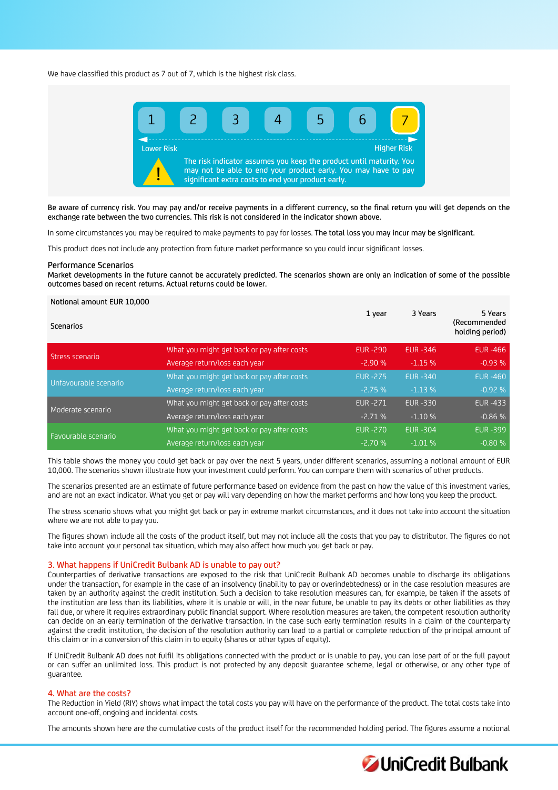We have classified this product as 7 out of 7, which is the highest risk class.



Be aware of currency risk. You may pay and/or receive payments in a different currency, so the final return you will get depends on the exchange rate between the two currencies. This risk is not considered in the indicator shown above.

In some circumstances you may be required to make payments to pay for losses. The total loss you may incur may be significant.

This product does not include any protection from future market performance so you could incur significant losses.

#### Performance Scenarios

Market developments in the future cannot be accurately predicted. The scenarios shown are only an indication of some of the possible outcomes based on recent returns. Actual returns could be lower.

#### Notional amount EUR 10,000

| <b>Scenarios</b>      |                                            | 1 year          | 3 Years        | 5 Years<br>(Recommended<br>holding period) |
|-----------------------|--------------------------------------------|-----------------|----------------|--------------------------------------------|
| Stress scenario       | What you might get back or pay after costs | <b>EUR-290</b>  | EUR - 346      | <b>EUR-466</b>                             |
|                       | Average return/loss each year              | $-2.90%$        | $-1.15%$       | $-0.93%$                                   |
| Unfavourable scenario | What you might get back or pay after costs | <b>EUR -275</b> | <b>EUR-340</b> | <b>EUR-460</b>                             |
|                       | Average return/loss each year              | $-2.75%$        | $-1.13%$       | $-0.92%$                                   |
| Moderate scenario     | What you might get back or pay after costs | <b>EUR-271</b>  | <b>EUR-330</b> | <b>EUR -433</b>                            |
|                       | Average return/loss each year              | $-2.71%$        | $-1.10%$       | $-0.86%$                                   |
| Favourable scenario   | What you might get back or pay after costs | <b>EUR-270</b>  | <b>EUR-304</b> | <b>EUR -399</b>                            |
|                       | Average return/loss each year              | $-2.70%$        | $-1.01%$       | $-0.80%$                                   |

This table shows the money you could get back or pay over the next 5 years, under different scenarios, assuming a notional amount of EUR 10,000. The scenarios shown illustrate how your investment could perform. You can compare them with scenarios of other products.

The scenarios presented are an estimate of future performance based on evidence from the past on how the value of this investment varies, and are not an exact indicator. What you get or pay will vary depending on how the market performs and how long you keep the product.

The stress scenario shows what you might get back or pay in extreme market circumstances, and it does not take into account the situation where we are not able to pay you.

The figures shown include all the costs of the product itself, but may not include all the costs that you pay to distributor. The figures do not take into account your personal tax situation, which may also affect how much you get back or pay.

#### 3. What happens if UniCredit Bulbank AD is unable to pay out?

Counterparties of derivative transactions are exposed to the risk that UniCredit Bulbank AD becomes unable to discharge its obligations under the transaction, for example in the case of an insolvency (inability to pay or overindebtedness) or in the case resolution measures are taken by an authority against the credit institution. Such a decision to take resolution measures can, for example, be taken if the assets of the institution are less than its liabilities, where it is unable or will, in the near future, be unable to pay its debts or other liabilities as they fall due, or where it requires extraordinary public financial support. Where resolution measures are taken, the competent resolution authority can decide on an early termination of the derivative transaction. In the case such early termination results in a claim of the counterparty against the credit institution, the decision of the resolution authority can lead to a partial or complete reduction of the principal amount of this claim or in a conversion of this claim in to equity (shares or other types of equity).

If UniCredit Bulbank AD does not fulfil its obligations connected with the product or is unable to pay, you can lose part of or the full payout or can suffer an unlimited loss. This product is not protected by any deposit guarantee scheme, legal or otherwise, or any other type of guarantee.

# 4. What are the costs?

The Reduction in Yield (RIY) shows what impact the total costs you pay will have on the performance of the product. The total costs take into account one-off, ongoing and incidental costs.

The amounts shown here are the cumulative costs of the product itself for the recommended holding period. The figures assume a notional